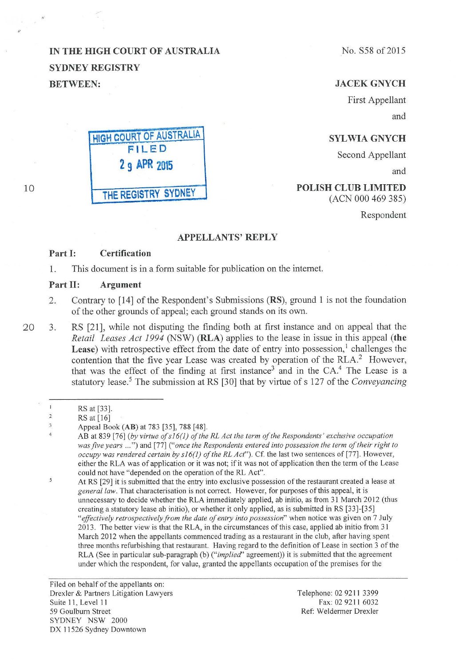# **IN THE HIGH COURT OF AUSTRALIA SYDNEY REGISTRY BETWEEN:**



# **JACEKGNYCH**

First Appellant and

## **SYLWIA GNYCH**

Second Appellant

and

### **POLISH CLUB LIMITED**  (ACN 000 469 385)

Respondent

# **APPELLANTS' REPLY**

#### **Part I: Certification**

1. This document is in a form suitable for publication on the internet.

#### **Part II: Argument**

- 2. Contrary to [14] of the Respondent's Submissions **(RS),** ground 1 is not the foundation of the other grounds of appeal; each ground stands on its own.
- 20 3. RS [21], while not disputing the finding both at first instance and on appeal that the *Retail Leases Act 1994* (NSW) **(RLA)** applies to the lease in issue in this appeal **(the**  Lease) with retrospective effect from the date of entry into possession,<sup>1</sup> challenges the contention that the five year Lease was created by operation of the RLA.<sup>2</sup> However, that was the effect of the finding at first instance<sup>3</sup> and in the CA.<sup>4</sup> The Lease is a statutory lease. 5 The submission at RS [30] that by virtue of s 127 of the *Conveyancing*

 $\mathsf{S}$ 

Filed on behalf of the appellants on: Drexler & Partners Litigation Lawyers Suite II, Level II 59 Goulbum Street SYDNEY NSW 2000 DX 11526 Sydney Downtown

Telephone: 02 9211 3399 Fax: 02 9211 6032 Ref: Weldermer Drexler

**HIGH COURT OF AUSTRALIA FILED 2 9 APR 2015 THE REGISTRY SYDNEY** 

10

 $\mathbf{I}$ RS at [33].

 $\overline{\mathbf{2}}$ RS at [16]

 $\overline{3}$ Appeal Book **(AB)** at 783 [35], 788 [48].  $\overline{4}$ 

AB at 839 [76] *(by virtue of s16(1) of the RL Act the term of the Respondents' exclusive occupation was five years* ... ") and [77] *("once the Respondents entered into possession the term of their right to occupy was rendered certain by s 16(1) of the RL Act").* Cf. the last two sentences of [77]. However, either the RLA was of application or it was not; if it was not of application then the term of the Lease could not have "depended on the operation of the RL Act".

At RS [29] it is submitted that the entry into exclusive possession of the restaurant created a lease at *genera/law.* That characterisation is not correct. However, for purposes of this appeal, it is unnecessary to decide whether the RLA immediately applied, ab initio, as from 31 March 2012 (thus creating a statutory lease ab initio), or whether it only applied, as is submitted in RS  $[33]$ - $[35]$ *"effectively retrospectively from the date of entry into possession"* when notice was given on 7 July 2013. The better view is that the RLA, in the circumstances of this case, applied ab initio from 3 1 March 2012 when the appellants commenced trading as a restaurant in the club, after having spent three months refurbishing that restaurant. Having regard to the definition of Lease in section 3 of the RLA (See in particular sub-paragraph (b) *("implied'* agreement)) it is submitted that the agreement under which the respondent, for value, granted the appellants occupation of the premises for the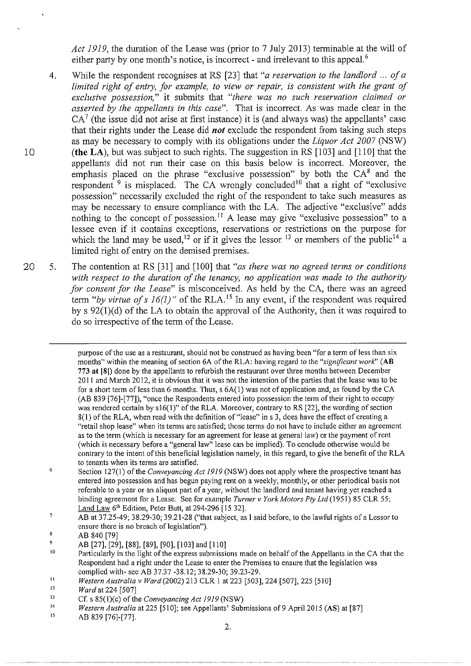*Act 1919,* the duration of the Lease was (prior to 7 July 2013) terminable at the will of either party by one month's notice, is incorrect - and irrelevant to this appeal.<sup>6</sup>

- 4. While the respondent recognises at RS [23] that *"a reservation to the landlord* ... *of a limited right of entry, for example, to view or repair, is consistent with the grant of exclusive possession,"* it submits that *"there was no such reservation claimed or asserted by the appellants in this case".* That is incorrect. As was made clear in the  $CA<sup>7</sup>$  (the issue did not arise at first instance) it is (and always was) the appellants' case that their rights under the Lease did *not* exclude the respondent from taking such steps as may be necessary to comply with its obligations under the *Liquor Act 2007* (NSW) 10 **(the LA),** but was subject to such rights. The suggestion in RS [103] and [110] that the appellants did not run their case on this basis below is incorrect. Moreover, the emphasis placed on the phrase "exclusive possession" by both the  $CA^8$  and the respondent  $9$  is misplaced. The CA wrongly concluded<sup>10</sup> that a right of "exclusive" possession" necessarily excluded the right of the respondent to take such measures as may be necessary to ensure compliance with the LA. The adjective "exclusive" adds nothing to the concept of possession.<sup>11</sup> A lease may give "exclusive possession" to a lessee even if it contains exceptions, reservations or restrictions on the purpose for which the land may be used,<sup>12</sup> or if it gives the lessor <sup>13</sup> or members of the public<sup>14</sup> a limited right of entry on the demised premises.
- 20 5. The contention at RS [31] and [100] that *"as there was no agreed terms or conditions with respect to the duration of the tenancy, no application was made to the authority for consent for the Lease"* is misconceived. As held by the CA, there was an agreed term "by virtue of s  $16(1)$ " of the RLA.<sup>15</sup> In any event, if the respondent was required by s  $92(1)(d)$  of the LA to obtain the approval of the Authority, then it was required to do so irrespective of the term of the Lease.

purpose of the use as a restaurant, should not be construed as having been "for a term of less than six months" within the meaning of section 6A of the RLA: having regard to the *"significant work"* **(AB**  773 **at** 181) done by the appellants to refurbish the restaurant over three months between December 2011 and March 2012, it is obvious that it was not the intention of the parties that the lease was to be for a short term of less than 6 months. Thus,  $s$  6A(1) was not of application and, as found by the CA (AB 839 [76]-[77]), "once the Respondents entered into possession the term of their right to occupy was rendered certain by s16(1)" of the RLA. Moreover, contrary to RS [22], the wording of section 8(1) of the RLA, when read with the definition of"lease" ins 3, does have the effect of creating a **"retail shop lease" when its terms are satisfied; those terms do not have to include either an agreement**  as to the term (which is necessary for an agreement for lease at general law) or the payment of rent **(which is necessary before a "general law" lease can be implied). To conclude otherwise would be**  contrary to the intent of this beneficial legislation namely, in this regard, to give the benefit of the RLA to tenants when its terms are satisfied.

6 Section 127(1) of the *Conveyancing Act 1919* (NSW) does not apply where the prospective tenant has entered into possession and has begun paying rent on a weekly, monthly, or other periodical basis not referable to a year or an aliquot part of a year, without the landlord and tenant having yet reached a binding agreement for a Lease. See for example *Turner v York Motors Pty Ltd* (1951) 85 CLR 55; Land Law 6'h Edition, Peter Butt, at 294-296 [ 15 32].

 $\overline{7}$ AB at 37.25-49; 38.29-30; 39.21-28 ("that subject, as I said before, to the lawful rights of a Lessor to ensure there is no breach of legislation").

 $\mathbf{s}$ AB 840 [79]

<sup>9</sup>  AB [27], [29], [88], [89], [90], [103] and [110]

<sup>10</sup>  Particularly in the light of the express submissions made on behalf of the Appellants in the CA that the Respondent had a right under the Lease to enter the Premises to ensure that the legislation was complied with- see AB 37.37 -38.12; 38.29-30; 39.23-29.

II *Western Australia v Ward* (2002) 213 CLR 1 at 223 [503], 224 [507], 225 [510]

<sup>12</sup>  *Ward* at 224 [507]

<sup>13</sup>  Cf. s 85(J)(c) of the *Conveyancing Act 1919* (NSW)

<sup>14</sup>  *Western Australia* at 225 [510]; see Appellants' Submissions of 9 April 2015 (AS) at [87]

<sup>15</sup>  AB 839 [76]-[77].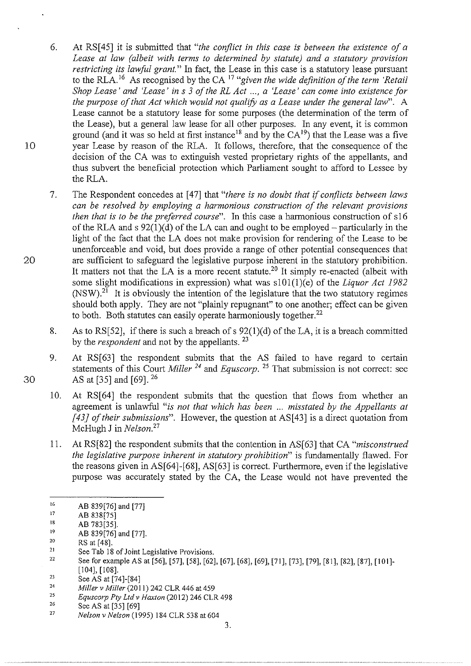- 6. At RS[45] it is submitted that *"the conflict in this case is between the existence of a Lease at law (albeit with terms to determined by statute) and a statutory provision restricting its lawful grant."* In fact, the Lease in this case is a statutory lease pursuant to the RLA.<sup>16</sup> As recognised by the CA <sup>17</sup> "given the wide definition of the term 'Retail *Shop Lease' and 'Lease' in s 3 of the RL Act ..., a 'Lease' can come into existence for the purpose of that Act which would not qualify as a Lease under the general law*". A Lease cannot be a statutory lease for some purposes (the determination of the term of the Lease), but a general law lease for all other purposes. In any event, it is common ground (and it was so held at first instance<sup>18</sup> and by the  $CA<sup>19</sup>$ ) that the Lease was a five year Lease by reason of the RLA. It follows, therefore, that the consequence of the decision of the CA was to extinguish vested proprietary rights of the appellants, and thus subvert the beneficial protection which Parliament sought to afford to Lessee by the RLA.
- 7. The Respondent concedes at [47] that *"there is no doubt that* if *conflicts between laws can be resolved by employing a harmonious construction of the relevant provisions then that is to be the preferred course".* In this case a harmonious construction of s16 of the RLA and s  $92(1)(d)$  of the LA can and ought to be employed – particularly in the light of the fact that the LA does not make provision for rendering of the Lease to be unenforceable and void, but does provide a range of other potential consequences that are sufficient to safeguard the legislative purpose inherent in the statutory prohibition. It matters not that the LA is a more recent statute.<sup>20</sup> It simply re-enacted (albeit with some slight modifications in expression) what was slOl(l)(e) of the *Liquor Act 1982*   $(NSW)^{21}$  It is obviously the intention of the legislature that the two statutory regimes should both apply. They are not "plainly repugnant" to one another; effect can be given to both. Both statutes can easily operate harmoniously together. $^{22}$
- 8. As to RS[52], if there is such a breach of s  $92(1)(d)$  of the LA, it is a breach committed by the *respondent* and not by the appellants. <sup>23</sup>
- 9. At RS[63] the respondent submits that the AS failed to have regard to certain statements of this Court *Miller 24* and *Equscorp.* 25 That submission is not correct: see AS at [35] and [69]. <sup>26</sup>
- 10. At RS[64] the respondent submits that the question that flows from whether an agreement is unlawful *"is not that which has been* ... *misstated by the Appellants at [43} of their submissions".* However, the question at AS[43] is a direct quotation from McHugh J in *Nelson. <sup>27</sup>*
- 11. At RS[82] the respondent submits that the contention in AS[63] that CA *"misconstrued the legislative purpose inherent in statutory prohibition"* is fundamentally flawed. For the reasons given in AS[64]-[68], AS[63] is correct. Furthermore, even if the legislative purpose was accurately stated by the CA, the Lease would not have prevented the

10

20

30

22 23 See for example AS at [56], [57], [58], [62], [67], [68], [69], [71], [73], [79], [81], [82], [87], [101]-[104], [108].

<sup>16</sup>  AB 839[76] and [77]

<sup>17</sup>  AB 838[75]

<sup>18</sup>  AB 783[35].

<sup>19</sup>  AB 839[76] and [77].

<sup>20</sup>  RS at [48].

<sup>21</sup>  See Tab 18 of Joint Legislative Provisions.

<sup>24</sup> See AS at [74]-[84]

*Miller v Miller* (2011) 242 CLR 446 at 459

<sup>25</sup>  Equscorp Pty Ltd v Haxton (2012) 246 CLR 498

<sup>26</sup>  See AS at [35] [69]

<sup>27</sup>  *Nelson v Nelson* (1995) 184 CLR 538 at 604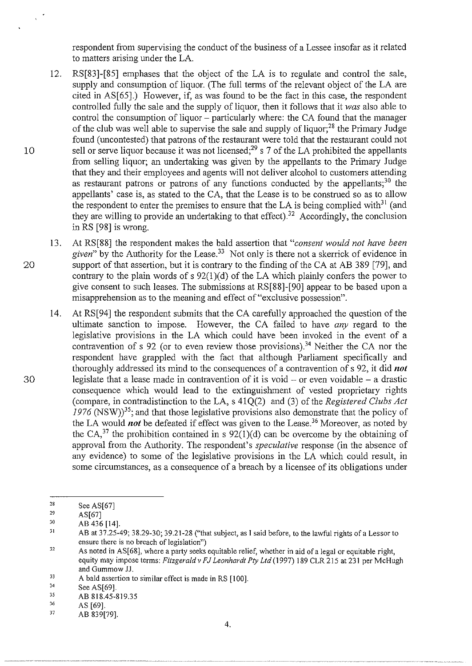respondent from supervising the conduct of the business of a Lessee insofar as it related to matters arising under the LA.

- 12. RS[83]-[85] emphases that the object of the LA is to regulate and control the sale, supply and consumption of liquor. (The full terms of the relevant object of the LA are cited in AS[ 65].) However, if, as was found to be the fact in this case, the respondent controlled fully the sale and the supply of liquor, then it follows that it *was* also able to control the consumption of liquor – particularly where: the CA found that the manager of the club was well able to supervise the sale and supply of Iiquor;28 the Primary Judge found (uncontested) that patrons of the restaurant were told that the restaurant could not 10 sell or serve liquor because it was not licensed;<sup>29</sup> s 7 of the LA prohibited the appellants from selling liquor; an undertaking was given by the appellants to the Primary Judge that they and their employees and agents will not deliver alcohol to customers attending as restaurant patrons or patrons of any functions conducted by the appellants;<sup>30</sup> the appellants' case is, as stated to theCA, that the Lease is to be construed so as to allow the respondent to enter the premises to ensure that the LA is being complied with<sup>31</sup> (and they are willing to provide an undertaking to that effect).<sup>32</sup> Accordingly, the conclusion in RS [98] is wrong.
- 13. At RS[88] the respondent makes the bald assertion that *"consent would not have been given"* by the Authority for the Lease.33 Not only is there not a skerrick of evidence in 20 support of that assertion, but it is contrary to the finding of the CA at AB 389 [79], and contrary to the plain words of  $s$  92(1)(d) of the LA which plainly confers the power to give consent to such leases. The submissions at RS[88]-[90] appear to be based upon a misapprehension as to the meaning and effect of"exclusive possession".
- 14. At RS[94] the respondent submits that theCA carefully approached the question of the ultimate sanction to impose. However, the CA failed to have *any* regard to the legislative provisions in the LA which could have been invoked in the event of a contravention of s 92 (or to even review those provisions).<sup>34</sup> Neither the CA nor the respondent have grappled with the fact that although Parliament specifically and thoroughly addressed its mind to the consequences of a contravention of s 92, it did *not*   $30$  legislate that a lease made in contravention of it is void – or even voidable – a drastic consequence which would lead to the extinguishment of vested proprietary rights (compare, in contradistinction to the LA, s 41Q(2) and (3) of the *Registered Clubs Act*  1976 (NSW)<sup>35</sup>; and that those legislative provisions also demonstrate that the policy of the LA would *not* be defeated if effect was given to the Lease.<sup>36</sup> Moreover, as noted by the CA,<sup>37</sup> the prohibition contained in s  $92(1)(d)$  can be overcome by the obtaining of approval from the Authority. The respondent's *speculative* response (in the absence of any evidence) to some of the legislative provisions in the LA which could result, in some circumstances, as a consequence of a breach by a licensee of its obligations under

 $\tilde{\lambda}$ 

<sup>28</sup>  See AS[67]

<sup>29</sup>  AS[67]

<sup>30</sup>  AB 436 [14].

<sup>3\</sup>  AB at 37.25-49; 38.29-30; 39.21-28 ("that subject, as I said before, to the lawful rights of a Lessor to ensure there is no breach of legislation")

<sup>32</sup>  As noted in AS[68], where a party seeks equitable relief, whether in aid of a legal or equitable right, equity may impose terms: *Fitzgeraldv FJ Leonhardt Pty Ltd* (1997) 189 CLR 215 at 231 per McHugh and Gummow JJ.

<sup>33</sup>  A bald assertion to similar effect is made in RS [100].

<sup>34</sup>  See AS[69].

<sup>35</sup>  AB 818.45-819.35

<sup>36</sup>  AS [69].

<sup>37</sup>  AB 839[79].